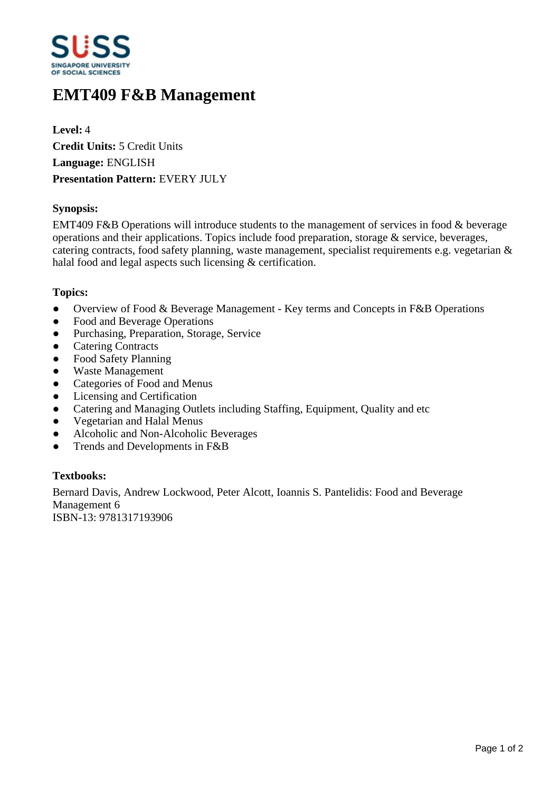

# **EMT409 F&B Management**

**Level:** 4 **Credit Units:** 5 Credit Units **Language:** ENGLISH **Presentation Pattern:** EVERY JULY

## **Synopsis:**

EMT409 F&B Operations will introduce students to the management of services in food & beverage operations and their applications. Topics include food preparation, storage & service, beverages, catering contracts, food safety planning, waste management, specialist requirements e.g. vegetarian & halal food and legal aspects such licensing & certification.

#### **Topics:**

- Overview of Food & Beverage Management Key terms and Concepts in F&B Operations
- Food and Beverage Operations
- Purchasing, Preparation, Storage, Service
- Catering Contracts
- Food Safety Planning
- Waste Management
- Categories of Food and Menus
- Licensing and Certification
- Catering and Managing Outlets including Staffing, Equipment, Quality and etc
- Vegetarian and Halal Menus
- ƔAlcoholic and Non-Alcoholic Beverages
- Trends and Developments in F&B

## **Textbooks:**

Bernard Davis, Andrew Lockwood, Peter Alcott, Ioannis S. Pantelidis: Food and Beverage Management 6 ISBN-13: 9781317193906